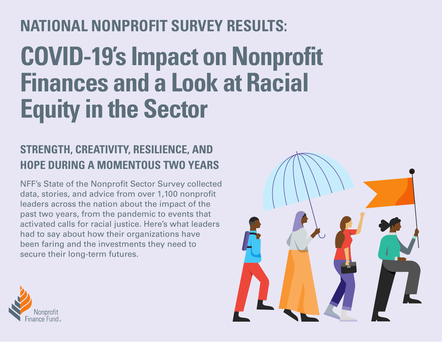# **NATIONAL NONPROFIT SURVEY RESULTS:**

# **COVID-19's Impact on Nonprofit Finances and a Look at Racial Equity in the Sector**

### **STRENGTH, CREATIVITY, RESILIENCE, AND HOPE DURING A MOMENTOUS TWO YEARS**

NFF's State of the Nonprofit Sector Survey collected data, stories, and advice from over 1,100 nonprofit leaders across the nation about the impact of the past two years, from the pandemic to events that activated calls for racial justice. Here's what leaders had to say about how their organizations have been faring and the investments they need to secure their long-term futures.



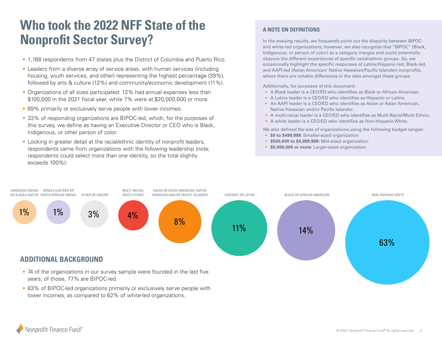### **Who took the 2022 NFF State of the Nonprofit Sector Survey?**

- 1,168 respondents from 47 states plus the District of Columbia and Puerto Rico.
- Leaders from a diverse array of service areas, with human services (including housing, youth services, and other) representing the highest percentage (39%), followed by arts & culture (12%) and community/economic development (11%).
- Organizations of all sizes participated: 12% had annual expenses less than \$100,000 in the 2021 fiscal year, while 7% were at \$20,000,000 or more.
- 69% primarily or exclusively serve people with lower incomes.
- 33% of responding organizations are BIPOC-led, which, for the purposes of this survey, we define as having an Executive Director or CEO who is Black, Indigenous, or other person of color.
- Looking in greater detail at the racial/ethnic identity of nonprofit leaders, respondents came from organizations with the following leadership (note, respondents could select more than one identity, so the total slightly exceeds 100%):

#### **A NOTE ON DEFINITIONS**

In the ensuing results, we frequently point out the disparity between BIPOCand white-led organizations; however, we also recognize that "BIPOC" (Black, Indigenous, or person of color) as a category merges and could potentially obscure the different experiences of specific racial/ethnic groups. So, we occasionally highlight the specific responses of Latinx/Hispanic-led, Black-led, and AAPI-led (Asian American/ Native Hawaiian/Pacific Islander) nonprofits, where there are notable differences in the data amongst these groups.

Additionally, for purposes of this document:

- A Black leader is a CEO/ED who identifies as Black or African American.
- A Latinx leader is a CEO/ED who identifies as Hispanic or Latinx.
- An AAPI leader is a CEO/ED who identifies as Asian or Asian American, Native Hawaiian and/or Pacific Islander.
- A multi-racial leader is a CEO/ED who identifies as Multi-Racial/Multi-Ethnic.
- A white leader is a CEO/ED who identifies as Non-Hispanic White.

We also defined the size of organizations using the following budget ranges:

- **\$0 to \$499,999:** Smaller-sized organization
- **\$500,000 to \$4,999,999:** Mid-sized organization
- **\$5,000,000 or more:** Larger-sized organization



lower incomes, as compared to 62% of white-led organizations.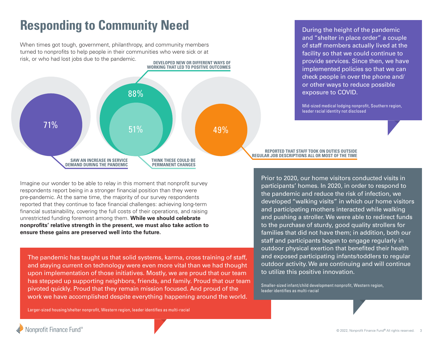# **Responding to Community Need**

**DEVELOPED NEW OR DIFFERENT WAYS OF**  When times got tough, government, philanthropy, and community members turned to nonprofits to help people in their communities who were sick or at risk, or who had lost jobs due to the pandemic.



Imagine our wonder to be able to relay in this moment that nonprofit survey respondents report being in a stronger financial position than they were pre-pandemic. At the same time, the majority of our survey respondents reported that they continue to face financial challenges: achieving long-term financial sustainability, covering the full costs of their operations, and raising unrestricted funding foremost among them. **While we should celebrate nonprofits' relative strength in the present, we must also take action to ensure these gains are preserved well into the future.**

The pandemic has taught us that solid systems, karma, cross training of staff, and staying current on technology were even more vital than we had thought upon implementation of those initiatives. Mostly, we are proud that our team has stepped up supporting neighbors, friends, and family. Proud that our team pivoted quickly. Proud that they remain mission focused. And proud of the work we have accomplished despite everything happening around the world.

During the height of the pandemic and "shelter in place order" a couple of staff members actually lived at the facility so that we could continue to provide services. Since then, we have implemented policies so that we can check people in over the phone and/ or other ways to reduce possible exposure to COVID.

Mid-sized medical lodging nonprofit, Southern region, leader racial identity not disclosed

#### **REPORTED THAT STAFF TOOK ON DUTIES OUTSIDE REGULAR JOB DESCRIPTIONS ALL OR MOST OF THE TIME**

Prior to 2020, our home visitors conducted visits in participants' homes. In 2020, in order to respond to the pandemic and reduce the risk of infection, we developed "walking visits" in which our home visitors and participating mothers interacted while walking and pushing a stroller. We were able to redirect funds to the purchase of sturdy, good quality strollers for families that did not have them; in addition, both our staff and participants began to engage regularly in outdoor physical exertion that benefited their health and exposed participating infants/toddlers to regular outdoor activity. We are continuing and will continue to utilize this positive innovation.

Smaller-sized infant/child development nonprofit, Western region, leader identifies as multi-racial

Larger-sized housing/shelter nonprofit, Western region, leader identifies as multi-racial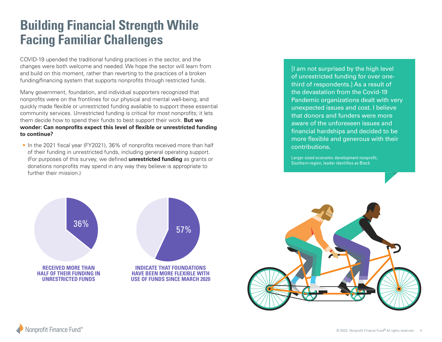# **Building Financial Strength While Facing Familiar Challenges**

COVID-19 upended the traditional funding practices in the sector, and the changes were both welcome and needed. We hope the sector will learn from and build on this moment, rather than reverting to the practices of a broken funding/financing system that supports nonprofits through restricted funds.

Many government, foundation, and individual supporters recognized that nonprofits were on the frontlines for our physical and mental well-being, and quickly made flexible or unrestricted funding available to support these essential community services. Unrestricted funding is critical for most nonprofits; it lets them decide how to spend their funds to best support their work. **But we wonder: Can nonprofits expect this level of flexible or unrestricted funding to continue?**

• In the 2021 fiscal year (FY2021), 36% of nonprofits received more than half of their funding in unrestricted funds, including general operating support. (For purposes of this survey, we defined **unrestricted funding** as grants or donations nonprofits may spend in any way they believe is appropriate to further their mission.)

[I am not surprised by the high level of unrestricted funding for over onethird of respondents.] As a result of the devastation from the Covid-19 Pandemic organizations dealt with very unexpected issues and cost. I believe that donors and funders were more aware of the unforeseen issues and financial hardships and decided to be more flexible and generous with their contributions.

Larger-sized economic development nonprofit, Southern region, leader identifies as Black





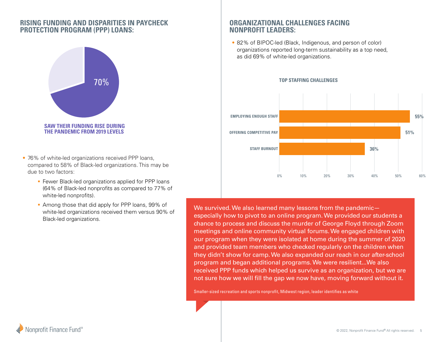### **RISING FUNDING AND DISPARITIES IN PAYCHECK PROTECTION PROGRAM (PPP) LOANS:**



- 76% of white-led organizations received PPP loans, compared to 58% of Black-led organizations. This may be due to two factors:
	- **Fewer Black-led organizations applied for PPP loans** (64% of Black-led nonprofits as compared to 77% of white-led nonprofits).
	- Among those that did apply for PPP loans, 99% of white-led organizations received them versus 90% of Black-led organizations.

### **ORGANIZATIONAL CHALLENGES FACING NONPROFIT LEADERS:**

• 82% of BIPOC-led (Black, Indigenous, and person of color) organizations reported long-term sustainability as a top need, as did 69% of white-led organizations.



We survived. We also learned many lessons from the pandemic especially how to pivot to an online program. We provided our students a chance to process and discuss the murder of George Floyd through Zoom meetings and online community virtual forums. We engaged children with our program when they were isolated at home during the summer of 2020 and provided team members who checked regularly on the children when they didn't show for camp. We also expanded our reach in our after-school program and began additional programs. We were resilient...We also received PPP funds which helped us survive as an organization, but we are not sure how we will fill the gap we now have, moving forward without it.

Smaller-sized recreation and sports nonprofit, Midwest region, leader identifies as white

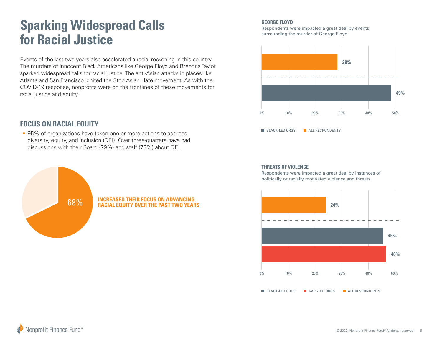# **Sparking Widespread Calls for Racial Justice**

Events of the last two years also accelerated a racial reckoning in this country. The murders of innocent Black Americans like George Floyd and Breonna Taylor sparked widespread calls for racial justice. The anti-Asian attacks in places like Atlanta and San Francisco ignited the Stop Asian Hate movement. As with the COVID-19 response, nonprofits were on the frontlines of these movements for racial justice and equity.

### **FOCUS ON RACIAL EQUITY**

• 95% of organizations have taken one or more actions to address diversity, equity, and inclusion (DEI). Over three-quarters have had discussions with their Board (79%) and staff (78%) about DEI.



#### **GEORGE FLOYD**

Respondents were impacted a great deal by events surrounding the murder of George Floyd.



**THREATS OF VIOLENCE**

Respondents were impacted a great deal by instances of politically or racially motivated violence and threats.

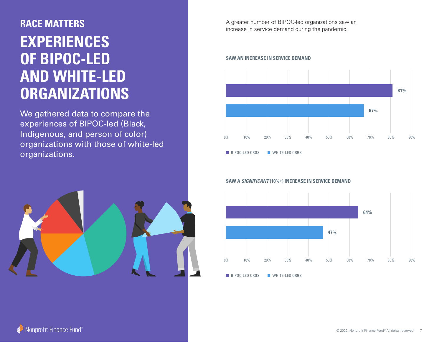# **EXPERIENCES OF BIPOC-LED AND WHITE-LED ORGANIZATIONS**

We gathered data to compare the experiences of BIPOC-led (Black, Indigenous, and person of color) organizations with those of white-led organizations.



A greater number of BIPOC-led organizations saw an **RACE MATTERS** increase in service demand during the pandemic.

#### **SAW AN INCREASE IN SERVICE DEMAND**



BIPOC-LED ORGS WHITE-LED ORGS

**SAW A** *SIGNIFICANT* **(10%+) INCREASE IN SERVICE DEMAND**



BIPOC-LED ORGS WHITE-LED ORGS

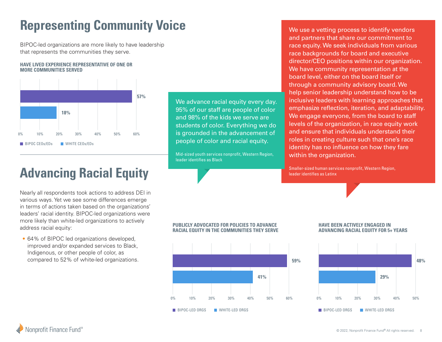# **Representing Community Voice**

BIPOC-led organizations are more likely to have leadership that represents the communities they serve.

#### **HAVE LIVED EXPERIENCE REPRESENTATIVE OF ONE OR MORE COMMUNITIES SERVED**



We advance racial equity every day. 95% of our staff are people of color and 98% of the kids we serve are students of color. Everything we do is grounded in the advancement of people of color and racial equity.

Mid-sized youth services nonprofit, Western Region, leader identifies as Black

We use a vetting process to identify vendors and partners that share our commitment to race equity. We seek individuals from various race backgrounds for board and executive director/CEO positions within our organization. We have community representation at the board level, either on the board itself or through a community advisory board. We help senior leadership understand how to be inclusive leaders with learning approaches that emphasize reflection, iteration, and adaptability. We engage everyone, from the board to staff levels of the organization, in race equity work and ensure that individuals understand their roles in creating culture such that one's race identity has no influence on how they fare within the organization.

Smaller-sized human services nonprofit, Western Region, leader identifies as Latinx

# **Advancing Racial Equity**

Nearly all respondents took actions to address DEI in various ways. Yet we see some differences emerge in terms of actions taken based on the organizations' leaders' racial identity. BIPOC-led organizations were more likely than white-led organizations to actively address racial equity:

• 64% of BIPOC led organizations developed, improved and/or expanded services to Black, Indigenous, or other people of color, as compared to 52% of white-led organizations.

#### **PUBLICLY ADVOCATED FOR POLICIES TO ADVANCE RACIAL EQUITY IN THE COMMUNITIES THEY SERVE**



#### **HAVE BEEN ACTIVELY ENGAGED IN ADVANCING RACIAL EQUITY FOR 5+ YEARS**



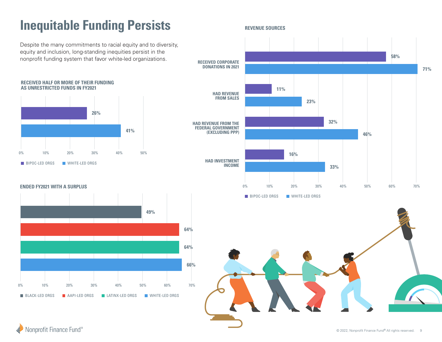# **Inequitable Funding Persists**

Despite the many commitments to racial equity and to diversity, equity and inclusion, long-standing inequities persist in the nonprofit funding system that favor white-led organizations.

#### **RECEIVED HALF OR MORE OF THEIR FUNDING AS UNRESTRICTED FUNDS IN FY2021**



**ENDED FY2021 WITH A SURPLUS**



**REVENUE SOURCES**





Nonprofit Finance Fund®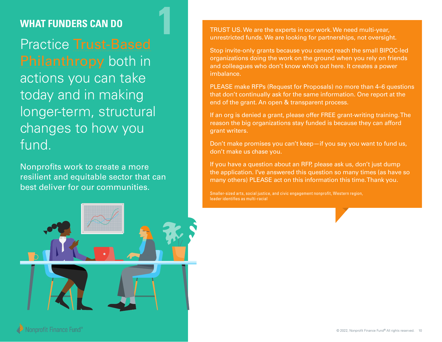### **WHAT FUNDERS CAN DO**

Practice [Trust-Based](https://www.trustbasedphilanthropy.org/practices) [Philanthropy](https://www.trustbasedphilanthropy.org/practices) both in actions you can take today and in making longer-term, structural changes to how you fund.

Nonprofits work to create a more resilient and equitable sector that can best deliver for our communities.



**1** TRUST US. We are the experts in our work. We need multi-year,<br>unrestricted funds. We are looking for partnerships, not oversight.

Stop invite-only grants because you cannot reach the small BIPOC-led organizations doing the work on the ground when you rely on friends and colleagues who don't know who's out here. It creates a power imbalance.

PLEASE make RFPs (Request for Proposals) no more than 4–6 questions that don't continually ask for the same information. One report at the end of the grant. An open & transparent process.

If an org is denied a grant, please offer FREE grant-writing training. The reason the big organizations stay funded is because they can afford grant writers.

Don't make promises you can't keep—if you say you want to fund us, don't make us chase you.

If you have a question about an RFP, please ask us, don't just dump the application. I've answered this question so many times (as have so many others) PLEASE act on this information this time. Thank you.

Smaller-sized arts, social justice, and civic engagement nonprofit, Western region, leader identifies as multi-racial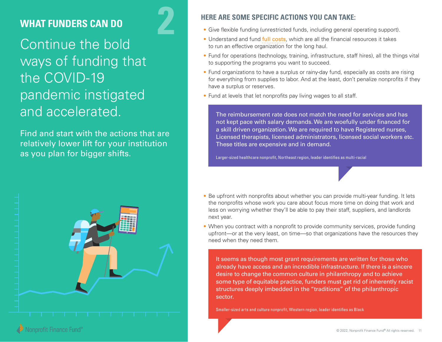### **WHAT FUNDERS CAN DO**

Continue the bold ways of funding that the COVID-19 pandemic instigated and accelerated.

Find and start with the actions that are relatively lower lift for your institution as you plan for bigger shifts.



### **2 HERE ARE SOME SPECIFIC ACTIONS YOU CAN TAKE:**

- Give flexible funding (unrestricted funds, including general operating support).
- Understand and fund [full costs](https://nff.org/full-cost), which are all the financial resources it takes to run an effective organization for the long haul.
- Fund for operations (technology, training, infrastructure, staff hires), all the things vital to supporting the programs you want to succeed.
- Fund organizations to have a surplus or rainy-day fund, especially as costs are rising for everything from supplies to labor. And at the least, don't penalize nonprofits if they have a surplus or reserves.
- Fund at levels that let nonprofits pay living wages to all staff.

The reimbursement rate does not match the need for services and has not kept pace with salary demands. We are woefully under financed for a skill driven organization. We are required to have Registered nurses, Licensed therapists, licensed administrators, licensed social workers etc. These titles are expensive and in demand.

Larger-sized healthcare nonprofit, Northeast region, leader identifies as multi-racial

- Be upfront with nonprofits about whether you can provide multi-year funding. It lets the nonprofits whose work you care about focus more time on doing that work and less on worrying whether they'll be able to pay their staff, suppliers, and landlords next year.
- When you contract with a nonprofit to provide community services, provide funding upfront—or at the very least, on time—so that organizations have the resources they need when they need them.

It seems as though most grant requirements are written for those who already have access and an incredible infrastructure. If there is a sincere desire to change the common culture in philanthropy and to achieve some type of equitable practice, funders must get rid of inherently racist structures deeply imbedded in the "traditions" of the philanthropic sector.

Smaller-sized arts and culture nonprofit, Western region, leader identifies as Black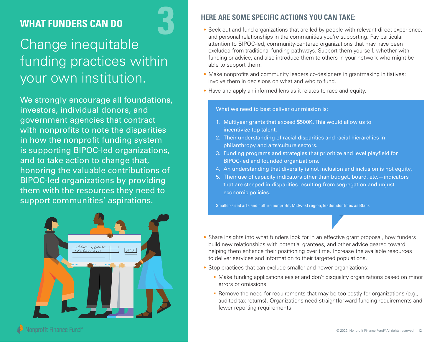### **WHAT FUNDERS CAN DO 3**

# Change inequitable funding practices within your own institution.

We strongly encourage all foundations, investors, individual donors, and government agencies that contract with nonprofits to note the disparities in how the nonprofit funding system is supporting BIPOC-led organizations, and to take action to change that, honoring the valuable contributions of BIPOC-led organizations by providing them with the resources they need to support communities' aspirations.



### **HERE ARE SOME SPECIFIC ACTIONS YOU CAN TAKE:**

- Seek out and fund organizations that are led by people with relevant direct experience, and personal relationships in the communities you're supporting. Pay particular attention to BIPOC-led, community-centered organizations that may have been excluded from traditional funding pathways. Support them yourself, whether with funding or advice, and also introduce them to others in your network who might be able to support them.
- Make nonprofits and community leaders co-designers in grantmaking initiatives; involve them in decisions on what and who to fund.
- Have and apply an informed lens as it relates to race and equity.

#### What we need to best deliver our mission is:

- 1. Multiyear grants that exceed \$500K. This would allow us to incentivize top talent.
- 2. Their understanding of racial disparities and racial hierarchies in philanthropy and arts/culture sectors.
- 3. Funding programs and strategies that prioritize and level playfield for BIPOC-led and founded organizations.
- 4. An understanding that diversity is not inclusion and inclusion is not equity.
- 5. Their use of capacity indicators other than budget, board, etc.—indicators that are steeped in disparities resulting from segregation and unjust economic policies.

Smaller-sized arts and culture nonprofit, Midwest region, leader identifies as Black

- Share insights into what funders look for in an effective grant proposal, how funders build new relationships with potential grantees, and other advice geared toward helping them enhance their positioning over time. Increase the available resources to deliver services and information to their targeted populations.
- Stop practices that can exclude smaller and newer organizations:
	- Make funding applications easier and don't disqualify organizations based on minor errors or omissions.
	- **Remove the need for requirements that may be too costly for organizations (e.g.,** audited tax returns). Organizations need straightforward funding requirements and fewer reporting requirements.